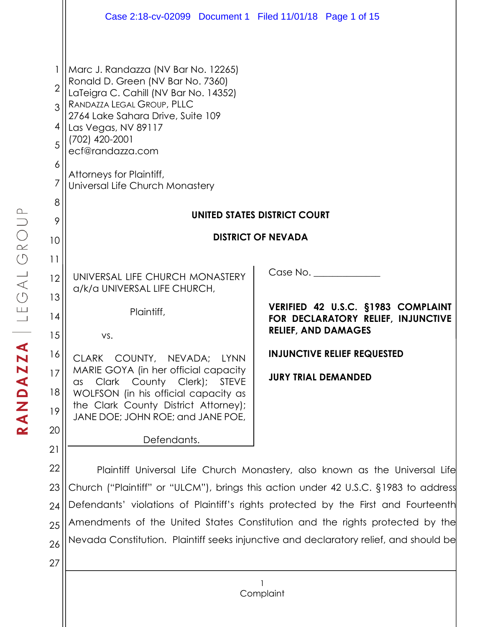|                                                                | Case 2:18-cv-02099 Document 1 Filed 11/01/18 Page 1 of 15                                                                                                                                                                                                                                                        |                                                                                                                    |  |
|----------------------------------------------------------------|------------------------------------------------------------------------------------------------------------------------------------------------------------------------------------------------------------------------------------------------------------------------------------------------------------------|--------------------------------------------------------------------------------------------------------------------|--|
| 1<br>$\overline{2}$<br>3<br>4<br>5<br>6<br>$\overline{7}$<br>8 | Marc J. Randazza (NV Bar No. 12265)<br>Ronald D. Green (NV Bar No. 7360)<br>LaTeigra C. Cahill (NV Bar No. 14352)<br>RANDAZZA LEGAL GROUP, PLLC<br>2764 Lake Sahara Drive, Suite 109<br>Las Vegas, NV 89117<br>(702) 420-2001<br>ecf@randazza.com<br>Attorneys for Plaintiff,<br>Universal Life Church Monastery |                                                                                                                    |  |
| 9                                                              | UNITED STATES DISTRICT COURT                                                                                                                                                                                                                                                                                     |                                                                                                                    |  |
| 10                                                             | <b>DISTRICT OF NEVADA</b>                                                                                                                                                                                                                                                                                        |                                                                                                                    |  |
| 11<br>12<br>13<br>14<br>15                                     | UNIVERSAL LIFE CHURCH MONASTERY<br>a/k/a UNIVERSAL LIFE CHURCH,<br>Plaintiff,<br>VS.                                                                                                                                                                                                                             | Case No.<br>VERIFIED 42 U.S.C. §1983 COMPLAINT<br>FOR DECLARATORY RELIEF, INJUNCTIVE<br><b>RELIEF, AND DAMAGES</b> |  |
| 16<br>17<br>18<br>19<br>20                                     | CLARK COUNTY, NEVADA; LYNN<br>MARIE GOYA (in her official capacity<br>Clark County Clerk);<br><b>STEVE</b><br>$\alpha$ s<br>WOLFSON (in his official capacity as<br>the Clark County District Attorney);<br>JANE DOE; JOHN ROE; and JANE POE,                                                                    | <b>INJUNCTIVE RELIEF REQUESTED</b><br><b>JURY TRIAL DEMANDED</b>                                                   |  |
| 21<br>22                                                       | Defendants.                                                                                                                                                                                                                                                                                                      | Plaintiff Universal Life Church Monastery, also known as the Universal Life                                        |  |
| 23                                                             | Church ("Plaintiff" or "ULCM"), brings this action under 42 U.S.C. §1983 to address                                                                                                                                                                                                                              |                                                                                                                    |  |
| 24                                                             | Defendants' violations of Plaintiff's rights protected by the First and Fourteenth                                                                                                                                                                                                                               |                                                                                                                    |  |

25 26 Amendments of the United States Constitution and the rights protected by the Nevada Constitution. Plaintiff seeks injunctive and declaratory relief, and should be

27

1 **Complaint**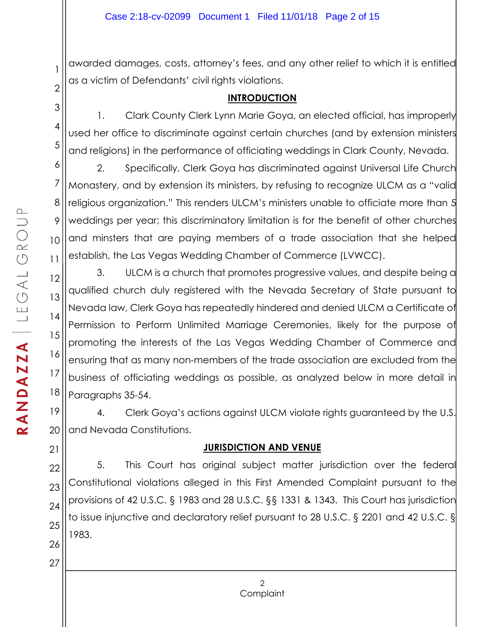awarded damages, costs, attorney's fees, and any other relief to which it is entitled as a victim of Defendants' civil rights violations.

#### **INTRODUCTION**

1. Clark County Clerk Lynn Marie Goya, an elected official, has improperly used her office to discriminate against certain churches (and by extension ministers and religions) in the performance of officiating weddings in Clark County, Nevada.

2. Specifically, Clerk Goya has discriminated against Universal Life Church Monastery, and by extension its ministers, by refusing to recognize ULCM as a "valid religious organization." This renders ULCM's ministers unable to officiate more than 5 weddings per year; this discriminatory limitation is for the benefit of other churches and minsters that are paying members of a trade association that she helped establish, the Las Vegas Wedding Chamber of Commerce (LVWCC).

12 13 14 15 16 17 18 3. ULCM is a church that promotes progressive values, and despite being a qualified church duly registered with the Nevada Secretary of State pursuant to Nevada law, Clerk Goya has repeatedly hindered and denied ULCM a Certificate of Permission to Perform Unlimited Marriage Ceremonies, likely for the purpose of promoting the interests of the Las Vegas Wedding Chamber of Commerce and ensuring that as many non-members of the trade association are excluded from the business of officiating weddings as possible, as analyzed below in more detail in Paragraphs 35-54.

19 20 4. Clerk Goya's actions against ULCM violate rights guaranteed by the U.S. and Nevada Constitutions.

# **JURISDICTION AND VENUE**

5. This Court has original subject matter jurisdiction over the federal Constitutional violations alleged in this First Amended Complaint pursuant to the provisions of 42 U.S.C. § 1983 and 28 U.S.C. §§ 1331 & 1343. This Court has jurisdiction to issue injunctive and declaratory relief pursuant to 28 U.S.C. § 2201 and 42 U.S.C. § 1983.

1

2

3

4

5

6

7

8

9

10

11

21

22

23

24

25

26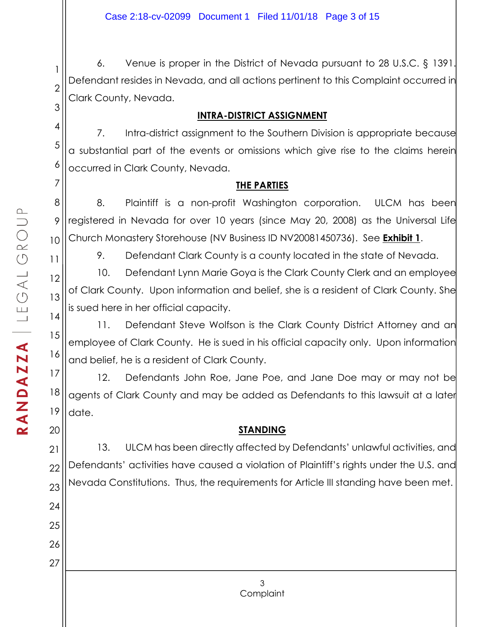2 3 6. Venue is proper in the District of Nevada pursuant to 28 U.S.C. § 1391. Defendant resides in Nevada, and all actions pertinent to this Complaint occurred in Clark County, Nevada.

### **INTRA-DISTRICT ASSIGNMENT**

7. Intra-district assignment to the Southern Division is appropriate because a substantial part of the events or omissions which give rise to the claims herein occurred in Clark County, Nevada.

### **THE PARTIES**

8. Plaintiff is a non-profit Washington corporation. ULCM has been registered in Nevada for over 10 years (since May 20, 2008) as the Universal Life Church Monastery Storehouse (NV Business ID NV20081450736). See **Exhibit 1**.

9. Defendant Clark County is a county located in the state of Nevada.

10. Defendant Lynn Marie Goya is the Clark County Clerk and an employee of Clark County. Upon information and belief, she is a resident of Clark County. She is sued here in her official capacity.

11. Defendant Steve Wolfson is the Clark County District Attorney and an employee of Clark County. He is sued in his official capacity only. Upon information and belief, he is a resident of Clark County.

17 18 19 12. Defendants John Roe, Jane Poe, and Jane Doe may or may not be agents of Clark County and may be added as Defendants to this lawsuit at a later date.

# **STANDING**

22 23 13. ULCM has been directly affected by Defendants' unlawful activities, and Defendants' activities have caused a violation of Plaintiff's rights under the U.S. and Nevada Constitutions. Thus, the requirements for Article III standing have been met.

1

4

5

6

7

8

9

10

11

12

13

14

15

16

20

21

24

25

26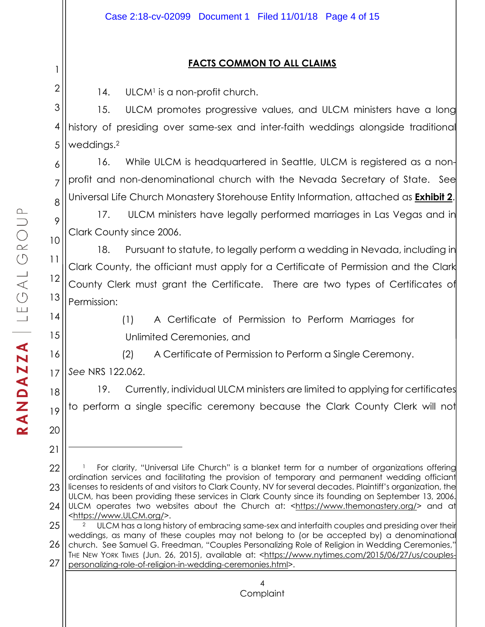### **FACTS COMMON TO ALL CLAIMS**

14. ULCM<sup>1</sup> is a non-profit church.

3 4 5 15. ULCM promotes progressive values, and ULCM ministers have a long history of presiding over same-sex and inter-faith weddings alongside traditional weddings.2

6 7 8 16. While ULCM is headquartered in Seattle, ULCM is registered as a nonprofit and non-denominational church with the Nevada Secretary of State. See Universal Life Church Monastery Storehouse Entity Information, attached as **Exhibit 2**.

17. ULCM ministers have legally performed marriages in Las Vegas and in Clark County since 2006.

18. Pursuant to statute, to legally perform a wedding in Nevada, including in Clark County, the officiant must apply for a Certificate of Permission and the Clark County Clerk must grant the Certificate. There are two types of Certificates of Permission:

14 15

9

10

11

12

13

1

2

(1) A Certificate of Permission to Perform Marriages for Unlimited Ceremonies, and

16 17 (2) A Certificate of Permission to Perform a Single Ceremony. *See* NRS 122.062.

18 19 19. Currently, individual ULCM ministers are limited to applying for certificates to perform a single specific ceremony because the Clark County Clerk will not

 $\overline{a}$ 

<sup>22</sup> 23 24 <sup>1</sup> For clarity, "Universal Life Church" is a blanket term for a number of organizations offering ordination services and facilitating the provision of temporary and permanent wedding officiant licenses to residents of and visitors to Clark County, NV for several decades. Plaintiff's organization, the ULCM, has been providing these services in Clark County since its founding on September 13, 2006. ULCM operates two websites about the Church at: <https://www.themonastery.org/> and at <https://www.ULCM.org/>.

<sup>25</sup> 26 27 <sup>2</sup> ULCM has a long history of embracing same-sex and interfaith couples and presiding over their weddings, as many of these couples may not belong to (or be accepted by) a denominational church. See Samuel G. Freedman, "Couples Personalizing Role of Religion in Wedding Ceremonies," THE NEW YORK TIMES (Jun. 26, 2015), available at: <https://www.nytimes.com/2015/06/27/us/couplespersonalizing-role-of-religion-in-wedding-ceremonies.html>.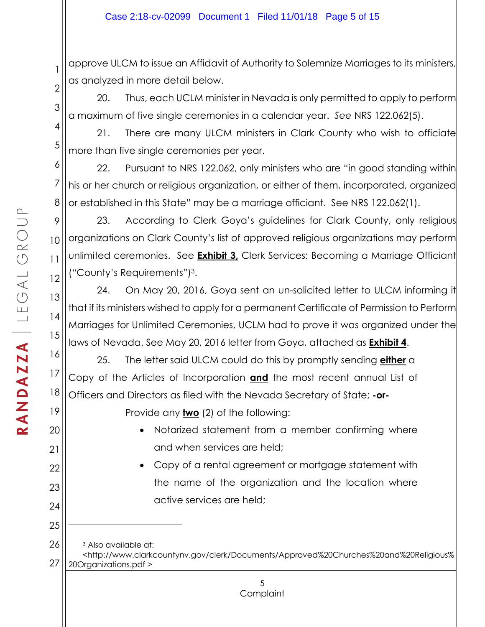2 approve ULCM to issue an Affidavit of Authority to Solemnize Marriages to its ministers, as analyzed in more detail below.

20. Thus, each UCLM minister in Nevada is only permitted to apply to perform a maximum of five single ceremonies in a calendar year. *See* NRS 122.062(5).

21. There are many ULCM ministers in Clark County who wish to officiate more than five single ceremonies per year.

7 8 22. Pursuant to NRS 122.062, only ministers who are "in good standing within his or her church or religious organization, or either of them, incorporated, organized or established in this State" may be a marriage officiant. See NRS 122.062(1).

9 10 11 12 23. According to Clerk Goya's guidelines for Clark County, only religious organizations on Clark County's list of approved religious organizations may perform unlimited ceremonies. See **Exhibit 3,** Clerk Services: Becoming a Marriage Officiant ("County's Requirements")3.

24. On May 20, 2016, Goya sent an un-solicited letter to ULCM informing it that if its ministers wished to apply for a permanent Certificate of Permission to Perform Marriages for Unlimited Ceremonies, UCLM had to prove it was organized under the laws of Nevada. See May 20, 2016 letter from Goya, attached as **Exhibit 4**.

25. The letter said ULCM could do this by promptly sending **either** a Copy of the Articles of Incorporation **and** the most recent annual List of Officers and Directors as filed with the Nevada Secretary of State; **-or-**

Provide any **two** (2) of the following:

- Notarized statement from a member confirming where and when services are held;
- Copy of a rental agreement or mortgage statement with the name of the organization and the location where active services are held;

26 27 <sup>3</sup> Also available at: <http://www.clarkcountynv.gov/clerk/Documents/Approved%20Churches%20and%20Religious% 20Organizations.pdf >

1

3

4

5

6

13

14

15

16

17

18

19

20

21

22

23

24

25

 $\overline{a}$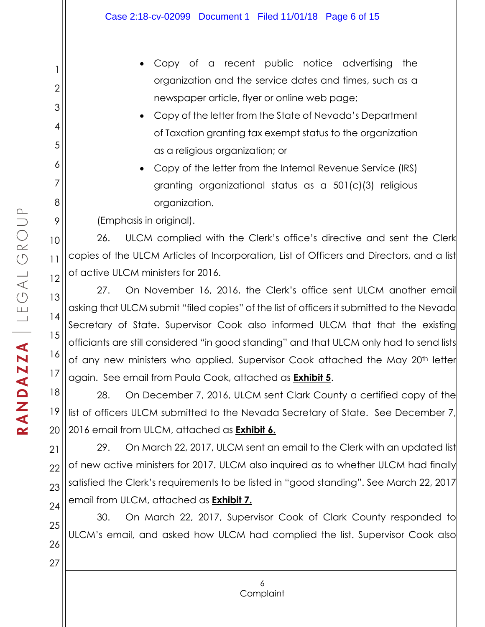- Copy of a recent public notice advertising the organization and the service dates and times, such as a newspaper article, flyer or online web page;
- Copy of the letter from the State of Nevada's Department of Taxation granting tax exempt status to the organization as a religious organization; or
- Copy of the letter from the Internal Revenue Service (IRS) granting organizational status as a 501(c)(3) religious organization.

(Emphasis in original).

10 11 12 26. ULCM complied with the Clerk's office's directive and sent the Clerk copies of the ULCM Articles of Incorporation, List of Officers and Directors, and a list of active ULCM ministers for 2016.

27. On November 16, 2016, the Clerk's office sent ULCM another email asking that ULCM submit "filed copies" of the list of officers it submitted to the Nevada Secretary of State. Supervisor Cook also informed ULCM that that the existing officiants are still considered "in good standing" and that ULCM only had to send lists of any new ministers who applied. Supervisor Cook attached the May 20<sup>th</sup> letter again. See email from Paula Cook, attached as **Exhibit 5**.

18 19 20 28. On December 7, 2016, ULCM sent Clark County a certified copy of the list of officers ULCM submitted to the Nevada Secretary of State. See December 7, 2016 email from ULCM, attached as **Exhibit 6.**

21 22 23 24 29. On March 22, 2017, ULCM sent an email to the Clerk with an updated list of new active ministers for 2017. ULCM also inquired as to whether ULCM had finally satisfied the Clerk's requirements to be listed in "good standing". See March 22, 2017 email from ULCM, attached as **Exhibit 7.**

25 26 30. On March 22, 2017, Supervisor Cook of Clark County responded to ULCM's email, and asked how ULCM had complied the list. Supervisor Cook also

1

2

3

4

5

6

7

8

9

13

14

15

16

17

27

6 **Complaint**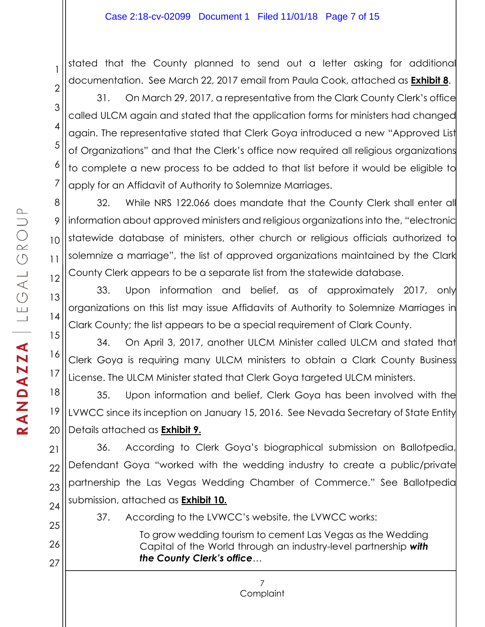stated that the County planned to send out a letter asking for additional documentation. See March 22, 2017 email from Paula Cook, attached as **Exhibit 8**.

31. On March 29, 2017, a representative from the Clark County Clerk's office called ULCM again and stated that the application forms for ministers had changed again. The representative stated that Clerk Goya introduced a new "Approved List of Organizations" and that the Clerk's office now required all religious organizations to complete a new process to be added to that list before it would be eligible to apply for an Affidavit of Authority to Solemnize Marriages.

8 12 32. While NRS 122.066 does mandate that the County Clerk shall enter all information about approved ministers and religious organizations into the, "electronic statewide database of ministers, other church or religious officials authorized to solemnize a marriage", the list of approved organizations maintained by the Clark County Clerk appears to be a separate list from the statewide database.

33. Upon information and belief, as of approximately 2017, only organizations on this list may issue Affidavits of Authority to Solemnize Marriages in Clark County; the list appears to be a special requirement of Clark County.

15 16 17 34. On April 3, 2017, another ULCM Minister called ULCM and stated that Clerk Goya is requiring many ULCM ministers to obtain a Clark County Business License. The ULCM Minister stated that Clerk Goya targeted ULCM ministers.

18 19 20 35. Upon information and belief, Clerk Goya has been involved with the LVWCC since its inception on January 15, 2016. See Nevada Secretary of State Entity Details attached as **Exhibit 9.**

21 22 23 24 36. According to Clerk Goya's biographical submission on Ballotpedia, Defendant Goya "worked with the wedding industry to create a public/private partnership the Las Vegas Wedding Chamber of Commerce." See Ballotpedia submission, attached as **Exhibit 10.**

7

37. According to the LVWCC's website, the LVWCC works:

To grow wedding tourism to cement Las Vegas as the Wedding Capital of the World through an industry-level partnership *with the County Clerk's office*…

1

2

3

4

5

6

7

9

10

11

13

14

25

26

27

**Complaint**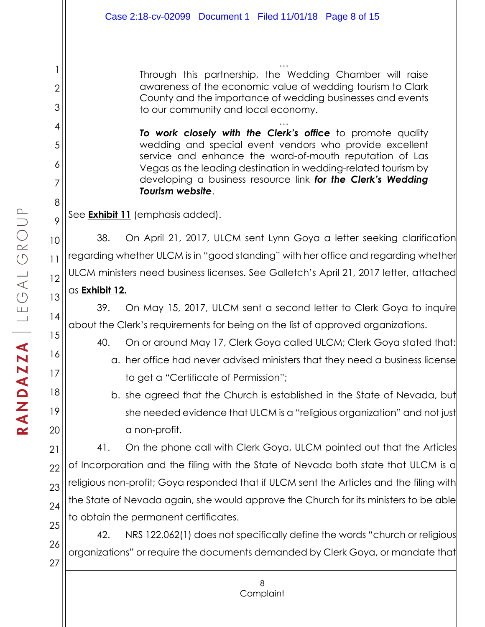… Through this partnership, the Wedding Chamber will raise awareness of the economic value of wedding tourism to Clark County and the importance of wedding businesses and events to our community and local economy.

… *To work closely with the Clerk's office* to promote quality wedding and special event vendors who provide excellent service and enhance the word-of-mouth reputation of Las Vegas as the leading destination in wedding-related tourism by developing a business resource link *for the Clerk's Wedding Tourism website*.

See **Exhibit 11** (emphasis added).

10 12 38. On April 21, 2017, ULCM sent Lynn Goya a letter seeking clarification regarding whether ULCM is in "good standing" with her office and regarding whether ULCM ministers need business licenses. See Galletch's April 21, 2017 letter, attached

# as **Exhibit 12.**

39. On May 15, 2017, ULCM sent a second letter to Clerk Goya to inquire about the Clerk's requirements for being on the list of approved organizations.

40. On or around May 17, Clerk Goya called ULCM; Clerk Goya stated that:

- a. her office had never advised ministers that they need a business license to get a "Certificate of Permission";
- b. she agreed that the Church is established in the State of Nevada, but she needed evidence that ULCM is a "religious organization" and not just a non-profit.

22 23 24 41. On the phone call with Clerk Goya, ULCM pointed out that the Articles of Incorporation and the filing with the State of Nevada both state that ULCM is a religious non-profit; Goya responded that if ULCM sent the Articles and the filing with the State of Nevada again, she would approve the Church for its ministers to be able to obtain the permanent certificates.

25 26 27 42. NRS 122.062(1) does not specifically define the words "church or religious organizations" or require the documents demanded by Clerk Goya, or mandate that

1

2

3

4

5

6

7

8

9

11

13

14

15

16

17

18

19

20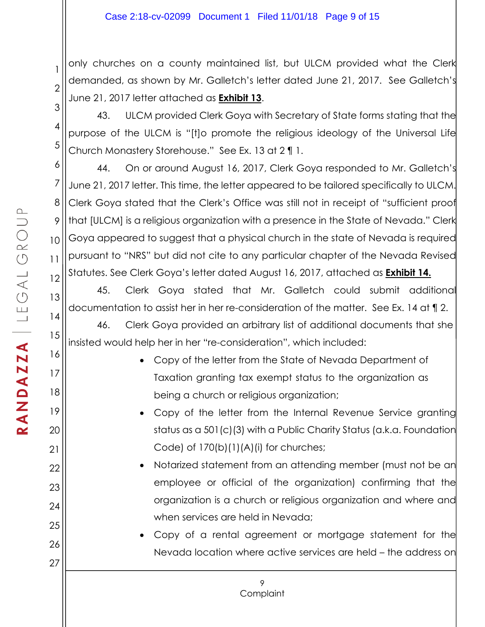2 3 only churches on a county maintained list, but ULCM provided what the Clerk demanded, as shown by Mr. Galletch's letter dated June 21, 2017. See Galletch's June 21, 2017 letter attached as **Exhibit 13**.

43. ULCM provided Clerk Goya with Secretary of State forms stating that the purpose of the ULCM is "[t]o promote the religious ideology of the Universal Life Church Monastery Storehouse." See Ex. 13 at 2 ¶ 1.

44. On or around August 16, 2017, Clerk Goya responded to Mr. Galletch's June 21, 2017 letter. This time, the letter appeared to be tailored specifically to ULCM. Clerk Goya stated that the Clerk's Office was still not in receipt of "sufficient proof that [ULCM] is a religious organization with a presence in the State of Nevada." Clerk Goya appeared to suggest that a physical church in the state of Nevada is required pursuant to "NRS" but did not cite to any particular chapter of the Nevada Revised Statutes. See Clerk Goya's letter dated August 16, 2017, attached as **Exhibit 14.**

45. Clerk Goya stated that Mr. Galletch could submit additional documentation to assist her in her re-consideration of the matter. See Ex. 14 at ¶ 2.

46. Clerk Goya provided an arbitrary list of additional documents that she insisted would help her in her "re-consideration", which included:

- Copy of the letter from the State of Nevada Department of Taxation granting tax exempt status to the organization as being a church or religious organization;
- Copy of the letter from the Internal Revenue Service granting status as a 501(c)(3) with a Public Charity Status (a.k.a. Foundation Code) of  $170(b)(1)(A)(i)$  for churches;
- Notarized statement from an attending member (must not be an employee or official of the organization) confirming that the organization is a church or religious organization and where and when services are held in Nevada;
- Copy of a rental agreement or mortgage statement for the Nevada location where active services are held – the address on

1

4

5

6

7

8

9

10

11

12

13

14

15

16

17

18

19

20

21

22

23

24

25

26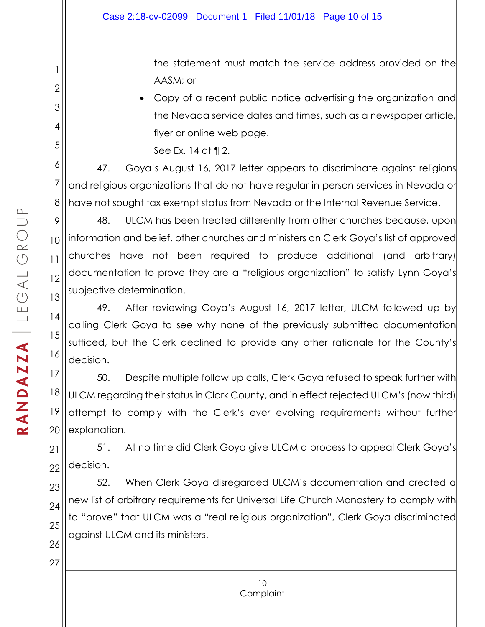the statement must match the service address provided on the AASM; or

• Copy of a recent public notice advertising the organization and the Nevada service dates and times, such as a newspaper article, flyer or online web page.

See Ex. 14 at ¶ 2.

47. Goya's August 16, 2017 letter appears to discriminate against religions and religious organizations that do not have regular in-person services in Nevada or have not sought tax exempt status from Nevada or the Internal Revenue Service.

9 10 11 12 13 48. ULCM has been treated differently from other churches because, upon information and belief, other churches and ministers on Clerk Goya's list of approved churches have not been required to produce additional (and arbitrary) documentation to prove they are a "religious organization" to satisfy Lynn Goya's subjective determination.

49. After reviewing Goya's August 16, 2017 letter, ULCM followed up by calling Clerk Goya to see why none of the previously submitted documentation sufficed, but the Clerk declined to provide any other rationale for the County's decision.

17 18 19 20 50. Despite multiple follow up calls, Clerk Goya refused to speak further with ULCM regarding their status in Clark County, and in effect rejected ULCM's (now third) attempt to comply with the Clerk's ever evolving requirements without further explanation.

21 22 51. At no time did Clerk Goya give ULCM a process to appeal Clerk Goya's decision.

23 24 25 26 52. When Clerk Goya disregarded ULCM's documentation and created a new list of arbitrary requirements for Universal Life Church Monastery to comply with to "prove" that ULCM was a "real religious organization", Clerk Goya discriminated against ULCM and its ministers.

1

2

3

4

5

6

7

8

14

15

16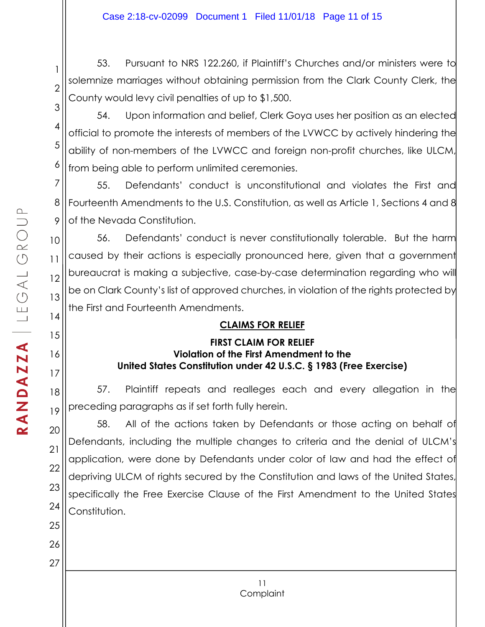53. Pursuant to NRS 122.260, if Plaintiff's Churches and/or ministers were to solemnize marriages without obtaining permission from the Clark County Clerk, the County would levy civil penalties of up to \$1,500.

3 4 5 6 54. Upon information and belief, Clerk Goya uses her position as an elected official to promote the interests of members of the LVWCC by actively hindering the ability of non-members of the LVWCC and foreign non-profit churches, like ULCM, from being able to perform unlimited ceremonies.

55. Defendants' conduct is unconstitutional and violates the First and Fourteenth Amendments to the U.S. Constitution, as well as Article 1, Sections 4 and 8 of the Nevada Constitution.

12 56. Defendants' conduct is never constitutionally tolerable. But the harm caused by their actions is especially pronounced here, given that a government bureaucrat is making a subjective, case-by-case determination regarding who will be on Clark County's list of approved churches, in violation of the rights protected by the First and Fourteenth Amendments.

# **CLAIMS FOR RELIEF**

### **FIRST CLAIM FOR RELIEF Violation of the First Amendment to the United States Constitution under 42 U.S.C. § 1983 (Free Exercise)**

57. Plaintiff repeats and realleges each and every allegation in the preceding paragraphs as if set forth fully herein.

58. All of the actions taken by Defendants or those acting on behalf of Defendants, including the multiple changes to criteria and the denial of ULCM's application, were done by Defendants under color of law and had the effect of depriving ULCM of rights secured by the Constitution and laws of the United States, specifically the Free Exercise Clause of the First Amendment to the United States Constitution.

1

2

7

8

9

10

11

13

14

15

16

17

18

19

20

21

22

23

24

25

26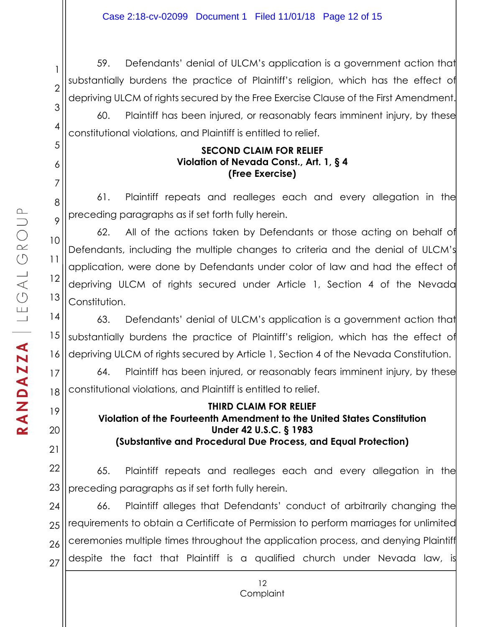2 59. Defendants' denial of ULCM's application is a government action that substantially burdens the practice of Plaintiff's religion, which has the effect of depriving ULCM of rights secured by the Free Exercise Clause of the First Amendment.

60. Plaintiff has been injured, or reasonably fears imminent injury, by these constitutional violations, and Plaintiff is entitled to relief.

#### **SECOND CLAIM FOR RELIEF Violation of Nevada Const., Art. 1, § 4 (Free Exercise)**

61. Plaintiff repeats and realleges each and every allegation in the preceding paragraphs as if set forth fully herein.

13 62. All of the actions taken by Defendants or those acting on behalf of Defendants, including the multiple changes to criteria and the denial of ULCM's application, were done by Defendants under color of law and had the effect of depriving ULCM of rights secured under Article 1, Section 4 of the Nevada Constitution.

14 15 16 63. Defendants' denial of ULCM's application is a government action that substantially burdens the practice of Plaintiff's religion, which has the effect of depriving ULCM of rights secured by Article 1, Section 4 of the Nevada Constitution.

18 64. Plaintiff has been injured, or reasonably fears imminent injury, by these constitutional violations, and Plaintiff is entitled to relief.

#### **THIRD CLAIM FOR RELIEF Violation of the Fourteenth Amendment to the United States Constitution Under 42 U.S.C. § 1983 (Substantive and Procedural Due Process, and Equal Protection)**

22 23 65. Plaintiff repeats and realleges each and every allegation in the preceding paragraphs as if set forth fully herein.

24 25 26 27 66. Plaintiff alleges that Defendants' conduct of arbitrarily changing the requirements to obtain a Certificate of Permission to perform marriages for unlimited ceremonies multiple times throughout the application process, and denying Plaintiff despite the fact that Plaintiff is a qualified church under Nevada law, is

1

3

4

5

6

7

8

9

10

11

12

17

19

20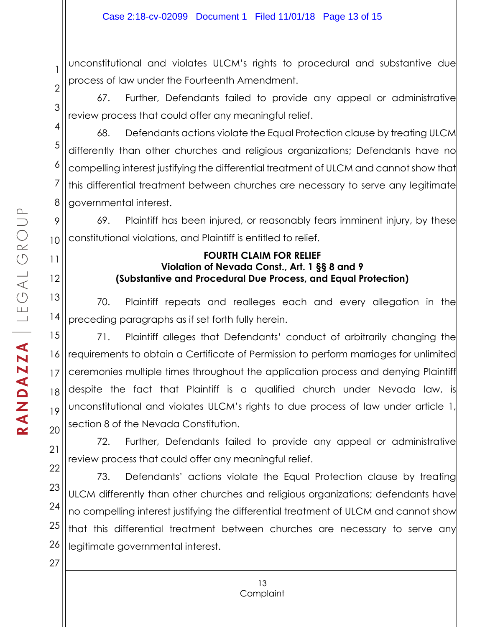2 unconstitutional and violates ULCM's rights to procedural and substantive due process of law under the Fourteenth Amendment.

67. Further, Defendants failed to provide any appeal or administrative review process that could offer any meaningful relief.

68. Defendants actions violate the Equal Protection clause by treating ULCM differently than other churches and religious organizations; Defendants have no compelling interest justifying the differential treatment of ULCM and cannot show that this differential treatment between churches are necessary to serve any legitimate governmental interest.

69. Plaintiff has been injured, or reasonably fears imminent injury, by these constitutional violations, and Plaintiff is entitled to relief.

### **FOURTH CLAIM FOR RELIEF Violation of Nevada Const., Art. 1 §§ 8 and 9 (Substantive and Procedural Due Process, and Equal Protection)**

70. Plaintiff repeats and realleges each and every allegation in the preceding paragraphs as if set forth fully herein.

15 16 17 18 19 20 71. Plaintiff alleges that Defendants' conduct of arbitrarily changing the requirements to obtain a Certificate of Permission to perform marriages for unlimited ceremonies multiple times throughout the application process and denying Plaintiff despite the fact that Plaintiff is a qualified church under Nevada law, is unconstitutional and violates ULCM's rights to due process of law under article 1, section 8 of the Nevada Constitution.

72. Further, Defendants failed to provide any appeal or administrative review process that could offer any meaningful relief.

22 23 24 25 26 73. Defendants' actions violate the Equal Protection clause by treating ULCM differently than other churches and religious organizations; defendants have no compelling interest justifying the differential treatment of ULCM and cannot show that this differential treatment between churches are necessary to serve any legitimate governmental interest.

1

3

4

5

6

7

8

9

10

11

12

13

14

21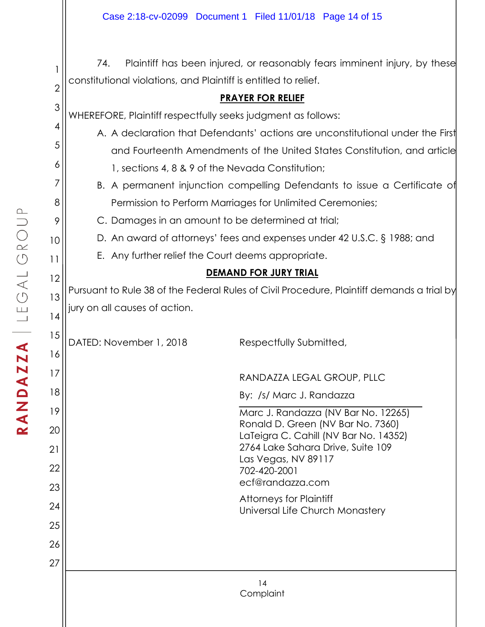74. Plaintiff has been injured, or reasonably fears imminent injury, by these constitutional violations, and Plaintiff is entitled to relief.

## **PRAYER FOR RELIEF**

3 WHEREFORE, Plaintiff respectfully seeks judgment as follows:

- A. A declaration that Defendants' actions are unconstitutional under the First and Fourteenth Amendments of the United States Constitution, and article 1, sections 4, 8 & 9 of the Nevada Constitution;
- B. A permanent injunction compelling Defendants to issue a Certificate of Permission to Perform Marriages for Unlimited Ceremonies;
- C. Damages in an amount to be determined at trial;
- D. An award of attorneys' fees and expenses under 42 U.S.C. § 1988; and
- E. Any further relief the Court deems appropriate.

### **DEMAND FOR JURY TRIAL**

Pursuant to Rule 38 of the Federal Rules of Civil Procedure, Plaintiff demands a trial by jury on all causes of action.

DATED: November 1, 2018 Respectfully Submitted,

RANDAZZA LEGAL GROUP, PLLC

By: /s/ Marc J. Randazza

Marc J. Randazza (NV Bar No. 12265) Ronald D. Green (NV Bar No. 7360) LaTeigra C. Cahill (NV Bar No. 14352) 2764 Lake Sahara Drive, Suite 109 Las Vegas, NV 89117 702-420-2001 ecf@randazza.com

Attorneys for Plaintiff Universal Life Church Monastery

1

2

4

5

6

7

8

9

10

11

12

13

14

15

16

17

18

19

20

21

22

23

24

25

26